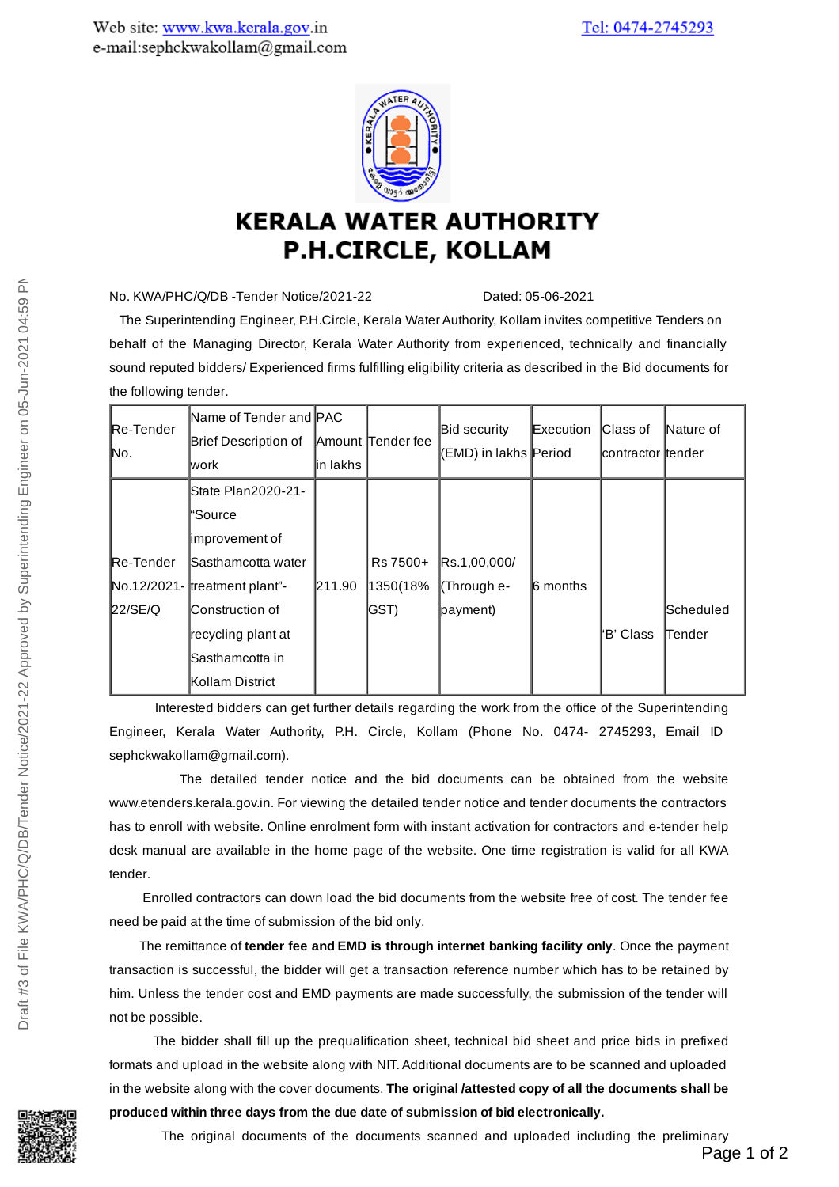

## **KERALA WATER AUTHORITY P.H.CIRCLE, KOLLAM**

No. KWA/PHC/Q/DB -Tender Notice/2021-22 Dated: 05-06-2021

The Superintending Engineer, P.H.Circle, Kerala Water Authority, Kollam invites competitive Tenders on behalf of the Managing Director, Kerala Water Authority from experienced, technically and financially sound reputed bidders/ Experienced firms fulfilling eligibility criteria as described in the Bid documents for the following tender.

| Re-Tender<br>M٥.  | Name of Tender and PAC<br>Brief Description of<br>lwork | lin lakhs | <b>Amount Tender fee</b> | Bid security<br>(EMD) in lakhs Period | Execution | Class of<br>∣contractor ∣tender | Nature of |
|-------------------|---------------------------------------------------------|-----------|--------------------------|---------------------------------------|-----------|---------------------------------|-----------|
|                   | State Plan2020-21-                                      |           |                          |                                       |           |                                 |           |
|                   | "Source                                                 |           |                          |                                       |           |                                 |           |
|                   | limprovement of                                         |           |                          |                                       |           |                                 |           |
| <b>IRe-Tender</b> | <b>Sasthamcotta water</b>                               |           | Rs 7500+                 | Rs.1,00,000/                          |           |                                 |           |
|                   | No.12/2021- treatment plant"-                           | 211.90    | 1350(18%                 | (Through e-                           | l6 months |                                 |           |
| 22/SE/Q           | <b>Construction of</b>                                  |           | <b>IGST</b> )            | payment)                              |           |                                 | Scheduled |
|                   | recycling plant at                                      |           |                          |                                       |           | 'B' Class                       | lTender   |
|                   | lSasthamcotta in                                        |           |                          |                                       |           |                                 |           |
|                   | Kollam District                                         |           |                          |                                       |           |                                 |           |

Interested bidders can get further details regarding the work from the office of the Superintending Engineer, Kerala Water Authority, P.H. Circle, Kollam (Phone No. 0474- 2745293, Email ID sephckwakollam@gmail.com).

The detailed tender notice and the bid documents can be obtained from the website www.etenders.kerala.gov.in. For viewing the detailed tender notice and tender documents the contractors has to enroll with website. Online enrolment form with instant activation for contractors and e-tender help desk manual are available in the home page of the website. One time registration is valid for all KWA tender.

Enrolled contractors can down load the bid documents from the website free of cost. The tender fee need be paid at the time of submission of the bid only.

The remittance of **tender fee and EMD is through internet banking facility only**. Once the payment transaction is successful, the bidder will get a transaction reference number which has to be retained by him. Unless the tender cost and EMD payments are made successfully, the submission of the tender will not be possible.

The bidder shall fill up the prequalification sheet, technical bid sheet and price bids in prefixed formats and upload in the website along with NIT.Additional documents are to be scanned and uploaded in the website along with the cover documents. **The original /attested copy of all the documents shall be produced within three days from the due date of submission of bid electronically.**



The original documents of the documents scanned and uploaded including the preliminary